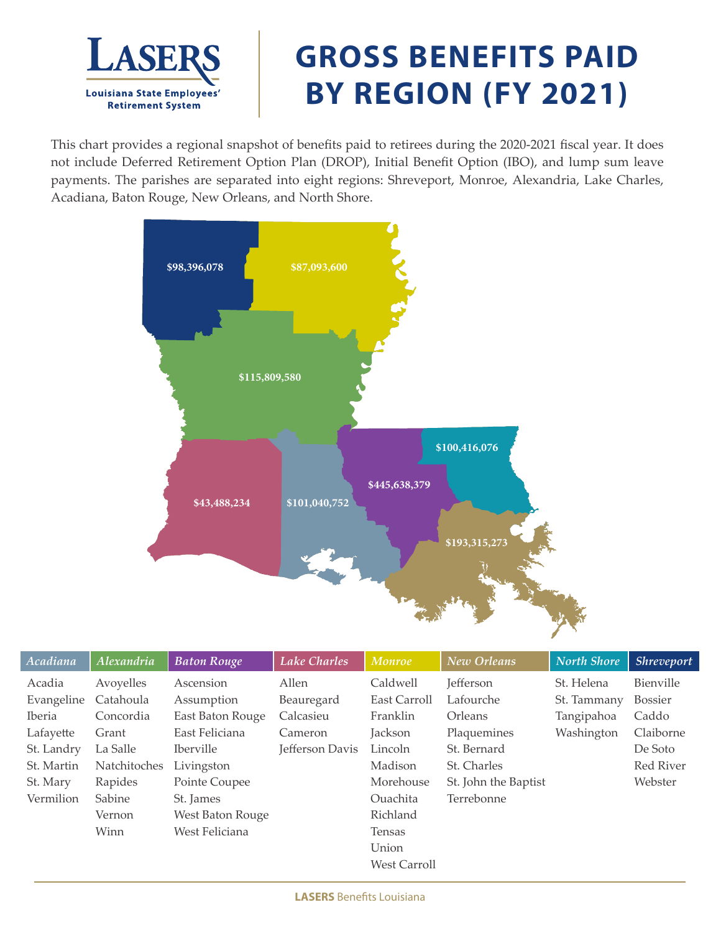

## **GROSS BENEFITS PAID BY REGION (FY 2021)**

This chart provides a regional snapshot of benefits paid to retirees during the 2020-2021 fiscal year. It does not include Deferred Retirement Option Plan (DROP), Initial Benefit Option (IBO), and lump sum leave payments. The parishes are separated into eight regions: Shreveport, Monroe, Alexandria, Lake Charles, Acadiana, Baton Rouge, New Orleans, and North Shore.



| Acadiana   | Alexandria          | <b>Baton Rouge</b> | Lake Charles    | Monroe              | New Orleans          | <b>North Shore</b> | <b>Shreveport</b> |
|------------|---------------------|--------------------|-----------------|---------------------|----------------------|--------------------|-------------------|
| Acadia     | Avoyelles           | Ascension          | Allen           | Caldwell            | Jefferson            | St. Helena         | Bienville         |
| Evangeline | Catahoula           | Assumption         | Beauregard      | East Carroll        | Lafourche            | St. Tammany        | <b>Bossier</b>    |
| Iberia     | Concordia           | East Baton Rouge   | Calcasieu       | Franklin            | Orleans              | Tangipahoa         | Caddo             |
| Lafayette  | Grant               | East Feliciana     | Cameron         | Jackson             | Plaquemines          | Washington         | Claiborne         |
| St. Landry | La Salle            | <i>Iberville</i>   | Jefferson Davis | Lincoln             | St. Bernard          |                    | De Soto           |
| St. Martin | <b>Natchitoches</b> | Livingston         |                 | Madison             | St. Charles          |                    | Red River         |
| St. Mary   | Rapides             | Pointe Coupee      |                 | Morehouse           | St. John the Baptist |                    | Webster           |
| Vermilion  | Sabine              | St. James          |                 | <b>Ouachita</b>     | Terrebonne           |                    |                   |
|            | Vernon              | West Baton Rouge   |                 | Richland            |                      |                    |                   |
|            | Winn                | West Feliciana     |                 | Tensas              |                      |                    |                   |
|            |                     |                    |                 | Union               |                      |                    |                   |
|            |                     |                    |                 | <b>West Carroll</b> |                      |                    |                   |